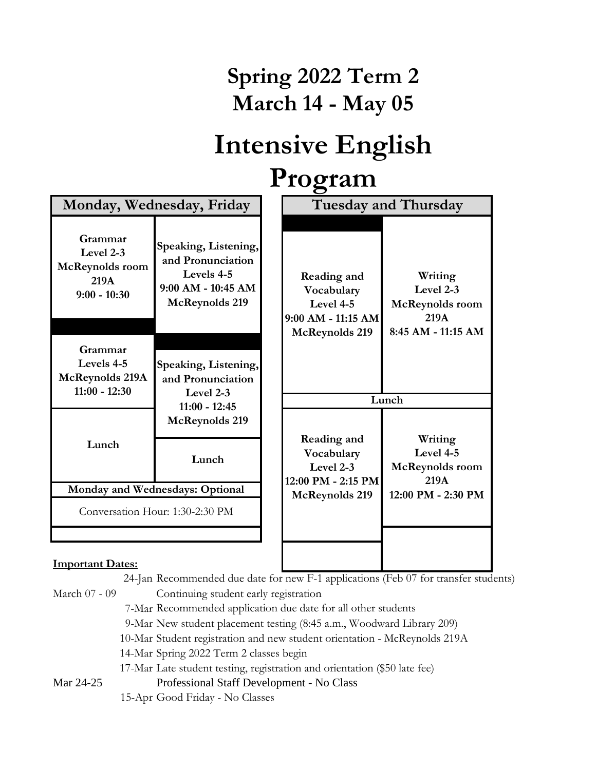## **Spring 2022 Term 2 March 14 - May 05**

## **Intensive English Program**

| Monday, Wednesday, Friday                                                |                                                                                                        |  | O<br><b>Tuesday and Thursday</b>                                               |                                                                       |  |
|--------------------------------------------------------------------------|--------------------------------------------------------------------------------------------------------|--|--------------------------------------------------------------------------------|-----------------------------------------------------------------------|--|
| Grammar<br>Level 2-3<br><b>McReynolds</b> room<br>219A<br>$9:00 - 10:30$ | Speaking, Listening,<br>and Pronunciation<br>Levels 4-5<br>9:00 AM - 10:45 AM<br><b>McReynolds 219</b> |  | Reading and<br>Vocabulary<br>Level 4-5<br>9:00 AM - 11:15 AM<br>McReynolds 219 | Writing<br>Level 2-3<br>McReynolds room<br>219A<br>8:45 AM - 11:15 AM |  |
| Grammar<br>Levels 4-5<br><b>McReynolds 219A</b><br>$11:00 - 12:30$       | Speaking, Listening,<br>and Pronunciation<br>Level 2-3<br>$11:00 - 12:45$                              |  |                                                                                | Lunch                                                                 |  |
| Lunch                                                                    | <b>McReynolds 219</b><br>Lunch                                                                         |  | Reading and<br>Vocabulary<br>Level 2-3<br>12:00 PM - 2:15 PM                   | Writing<br>Level 4-5<br><b>McReynolds</b> room<br>219A                |  |
| Monday and Wednesdays: Optional                                          |                                                                                                        |  | McReynolds 219                                                                 | 12:00 PM - 2:30 PM                                                    |  |
| Conversation Hour: 1:30-2:30 PM                                          |                                                                                                        |  |                                                                                |                                                                       |  |
| T.,<br>. <b>. 17</b>                                                     |                                                                                                        |  |                                                                                |                                                                       |  |

## **Important Dates:**

24-Jan Recommended due date for new F-1 applications (Feb 07 for transfer students)

March 07 - 09 Continuing student early registration

7-Mar Recommended application due date for all other students

- 9-Mar New student placement testing (8:45 a.m., Woodward Library 209)
- 10-Mar Student registration and new student orientation McReynolds 219A

14-Mar Spring 2022 Term 2 classes begin

17-Mar Late student testing, registration and orientation (\$50 late fee)

Mar 24-25 Professional Staff Development - No Class

15-Apr Good Friday - No Classes